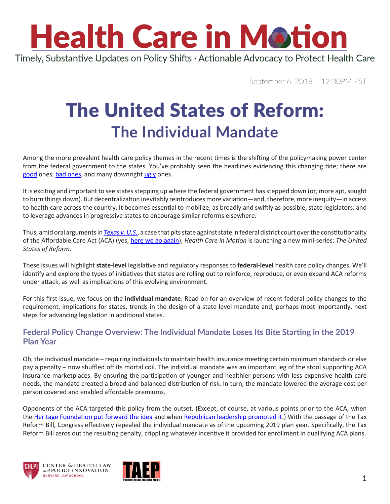Timely, Substantive Updates on Policy Shifts · Actionable Advocacy to Protect Health Care

September 6, 2018 12:30PM EST

### The United States of Reform: **The Individual Mandate**

Among the more prevalent health care policy themes in the recent times is the shifting of the policymaking power center from the federal government to the states. You've probably seen the headlines evidencing this changing tide; there are [good](https://thinkprogress.org/nebraska-medicaid-expansion-vote-november-4fd3a609ef0c/) ones, [bad ones](http://www.providencejournal.com/news/20180522/raimondo-pulls-medicaid-co-pays-proposal-from-ri-state-budget), and many downright [ugly](https://www.healthexec.com/topics/care-delivery/more-states-medicaid-work-requirements) ones.

It is exciting and important to see states stepping up where the federal government has stepped down (or, more apt, sought to burn things down). But decentralization inevitably reintroduces more variation—and, therefore, more inequity—in access to health care across the country. It becomes essential to mobilize, as broadly and swiftly as possible, state legislators, and to leverage advances in progressive states to encourage similar reforms elsewhere.

Thus, amid oral arguments in *[Texas v. U.S.](https://www.chlpi.org/wp-content/uploads/2013/12/HCIM_06_19_2018.pdf)*, a case that pits state against state in federal district court over the constitutionality of the Affordable Care Act (ACA) (yes, [here we go again](https://www.youtube.com/watch?v=WyF8RHM1OCg)), *Health Care in Motion* is launching a new mini-series: *The United States of Reform*.

These issues will highlight **state-level** legislative and regulatory responses to **federal-level** health care policy changes. We'll identify and explore the types of initiatives that states are rolling out to reinforce, reproduce, or even expand ACA reforms under attack, as well as implications of this evolving environment.

For this first issue, we focus on the **individual mandate**. Read on for an overview of recent federal policy changes to the requirement, implications for states, trends in the design of a state-level mandate and, perhaps most importantly, next steps for advancing legislation in additional states.

#### **Federal Policy Change Overview: The Individual Mandate Loses Its Bite Starting in the 2019 Plan Year**

Oh, the individual mandate – requiring individuals to maintain health insurance meeting certain minimum standards or else pay a penalty – now shuffled off its mortal coil. The individual mandate was an important leg of the stool supporting ACA insurance marketplaces. By ensuring the participation of younger and healthier persons with less expensive health care needs, the mandate created a broad and balanced distribution of risk. In turn, the mandate lowered the average cost per person covered and enabled affordable premiums.

Opponents of the ACA targeted this policy from the outset. (Except, of course, at various points prior to the ACA, when the [Heritage Foundation put forward the idea](https://www.heritage.org/social-security/report/assuring-affordable-health-care-all-americans) and when [Republican leadership promoted it](https://www.youtube.com/watch?v=X61J-5sW288).) With the passage of the Tax Reform Bill, Congress effectively repealed the individual mandate as of the upcoming 2019 plan year. Specifically, the Tax Reform Bill zeros out the resulting penalty, crippling whatever incentive it provided for enrollment in qualifying ACA plans.





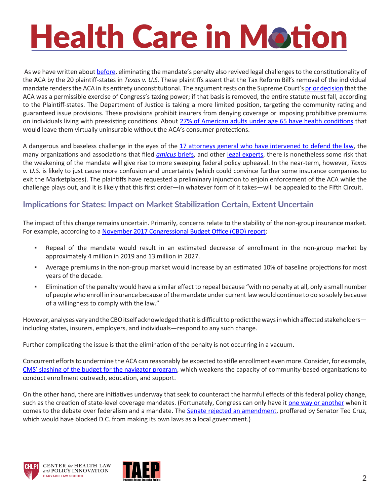As we have written about [before](https://www.chlpi.org/wp-content/uploads/2013/12/HCIM_06_19_2018.pdf), eliminating the mandate's penalty also revived legal challenges to the constitutionality of the ACA by the 20 plaintiff-states in *Texas v. U.S.* These plaintiffs assert that the Tax Reform Bill's removal of the individual mandate renders the ACA in its entirety unconstitutional. The argument rests on the Supreme Court's [prior decision](http://www.scotusblog.com/case-files/cases/national-federation-of-independent-business-v-sebelius/) that the ACA was a permissible exercise of Congress's taxing power; if that basis is removed, the entire statute must fall, according to the Plaintiff-states. The Department of Justice is taking a more limited position, targeting the community rating and guaranteed issue provisions. These provisions prohibit insurers from denying coverage or imposing prohibitive premiums on individuals living with preexisting conditions. About [27% of American adults under age 65 have health conditions](https://www.kff.org/health-reform/issue-brief/pre-existing-conditions-and-medical-underwriting-in-the-individual-insurance-market-prior-to-the-aca/) that would leave them virtually uninsurable without the ACA's consumer protections.

A dangerous and baseless challenge in the eyes of the [17 attorneys general who have intervened to defend the law](https://oag.ca.gov/news/press-releases/texas-et-al-v-united-states-et-al-attorney-general-becerra-leads-coalition-17), the many organizations and associations that filed *[amicus](http://www.latimes.com/business/hiltzik/la-fi-hiltzik-obamacare-gun-lobby-20180615-story.html)* briefs, and other [legal experts](https://theincidentaleconomist.com/wordpress/a-feeble-constitutional-challenge/), there is nonetheless some risk that the weakening of the mandate will give rise to more sweeping federal policy upheaval. In the near-term, however, *Texas v. U.S.* is likely to just cause more confusion and uncertainty (which could convince further some insurance companies to exit the Marketplaces). The plaintiffs have requested a preliminary injunction to enjoin enforcement of the ACA while the challenge plays out, and it is likely that this first order—in whatever form of it takes—will be appealed to the Fifth Circuit.

#### **Implications for States: Impact on Market Stabilization Certain, Extent Uncertain**

The impact of this change remains uncertain. Primarily, concerns relate to the stability of the non-group insurance market. For example, according to a [November 2017 Congressional Budget Office \(CBO\) report](https://www.cbo.gov/system/files/115th-congress-2017-2018/reports/53300-individualmandate.pdf):

- Repeal of the mandate would result in an estimated decrease of enrollment in the non-group market by approximately 4 million in 2019 and 13 million in 2027.
- Average premiums in the non-group market would increase by an estimated 10% of baseline projections for most years of the decade.
- Elimination of the penalty would have a similar effect to repeal because "with no penalty at all, only a small number of people who enroll in insurance because of the mandate under current law would continue to do so solely because of a willingness to comply with the law."

However, analyses vary and the CBO itself acknowledged that it is difficult to predict the ways in which affected stakeholders including states, insurers, employers, and individuals—respond to any such change.

Further complicating the issue is that the elimination of the penalty is not occurring in a vacuum.

Concurrent efforts to undermine the ACA can reasonably be expected to stifle enrollment even more. Consider, for example, [CMS' slashing of the budget for the navigator program](https://www.healthaffairs.org/do/10.1377/hblog20180712.527570/full/), which weakens the capacity of community-based organizations to conduct enrollment outreach, education, and support.

On the other hand, there are initiatives underway that seek to counteract the harmful effects of this federal policy change, such as the creation of state-level coverage mandates. (Fortunately, Congress can only have it [one way or another](https://www.youtube.com/watch?v=4kg9LasvLFE) when it comes to the debate over federalism and a mandate. The [Senate rejected an amendment](https://khn.org/morning-breakout/bipartisan-majority-knocks-down-cruzs-attempt-to-kill-d-c-s-version-of-individual-mandate/), proffered by Senator Ted Cruz, which would have blocked D.C. from making its own laws as a local government.)





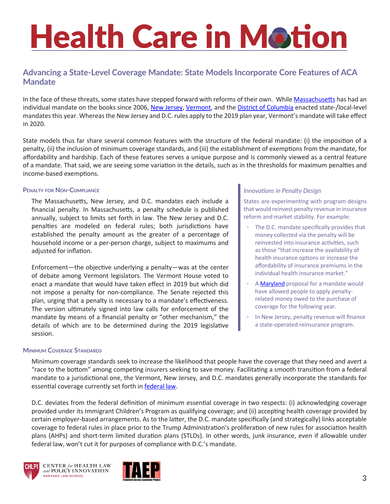#### **Advancing a State-Level Coverage Mandate: State Models Incorporate Core Features of ACA Mandate**

In the face of these threats, some states have stepped forward with reforms of their own. While [Massachusetts](https://malegislature.gov/Laws/GeneralLaws/PartI/TitleXVI/Chapter111M) has had an individual mandate on the books since 2006, [New Jersey](https://www.njleg.state.nj.us/2018/Bills/PL18/31_.PDF), [Vermont](https://legislature.vermont.gov/bill/status/2018/H.696), and the [District of Columbia](http://lims.dccouncil.us/Legislation/B22-0753?FromSearchResults=true#second22) enacted state-/local-level mandates this year. Whereas the New Jersey and D.C. rules apply to the 2019 plan year, Vermont's mandate will take effect in 2020.

State models thus far share several common features with the structure of the federal mandate: (i) the imposition of a penalty, (ii) the inclusion of minimum coverage standards, and (iii) the establishment of exemptions from the mandate, for affordability and hardship. Each of these features serves a unique purpose and is commonly viewed as a central feature of a mandate. That said, we are seeing some variation in the details, such as in the thresholds for maximum penalties and income-based exemptions.

#### **Penalty for Non-Compliance**

The Massachusetts, New Jersey, and D.C. mandates each include a financial penalty. In Massachusetts, a penalty schedule is published annually, subject to limits set forth in law. The New Jersey and D.C. penalties are modeled on federal rules; both jurisdictions have established the penalty amount as the greater of a percentage of household income or a per-person charge, subject to maximums and adjusted for inflation.

Enforcement—the objective underlying a penalty—was at the center of debate among Vermont legislators. The Vermont House voted to enact a mandate that would have taken effect in 2019 but which did not impose a penalty for non-compliance. The Senate rejected this plan, urging that a penalty is necessary to a mandate's effectiveness. The version ultimately signed into law calls for enforcement of the mandate by means of a financial penalty or "other mechanism," the details of which are to be determined during the 2019 legislative session.

#### **Minimum Coverage Standards**

#### *Innovations in Penalty Design*

States are experimenting with program designs that would reinvest penalty revenue in insurance reform and market stability. For example:

- The D.C. mandate specifically provides that money collected via the penalty will be reinvested into insurance activities, such as those "that increase the availability of health insurance options or increase the affordability of insurance premiums in the individual health insurance market."
- A [Maryland](http://mgaleg.maryland.gov/2018RS/bills/sb/sb1011f.pdf) proposal for a mandate would have allowed people to apply penaltyrelated money owed to the purchase of coverage for the following year.
- In New Jersey, penalty revenue will finance a state-operated reinsurance program.

Minimum coverage standards seek to increase the likelihood that people have the coverage that they need and avert a "race to the bottom" among competing insurers seeking to save money. Facilitating a smooth transition from a federal mandate to a jurisdictional one, the Vermont, New Jersey, and D.C. mandates generally incorporate the standards for essential coverage currently set forth in **[federal law](https://www.law.cornell.edu/uscode/text/26/5000A)**.

D.C. deviates from the federal definition of minimum essential coverage in two respects: (i) acknowledging coverage provided under its Immigrant Children's Program as qualifying coverage; and (ii) accepting health coverage provided by certain employer-based arrangements. As to the latter, the D.C. mandate specifically (and strategically) links acceptable coverage to federal rules in place prior to the Trump Administration's proliferation of new rules for association health plans (AHPs) and short-term limited duration plans (STLDs). In other words, junk insurance, even if allowable under federal law, won't cut it for purposes of compliance with D.C.'s mandate.